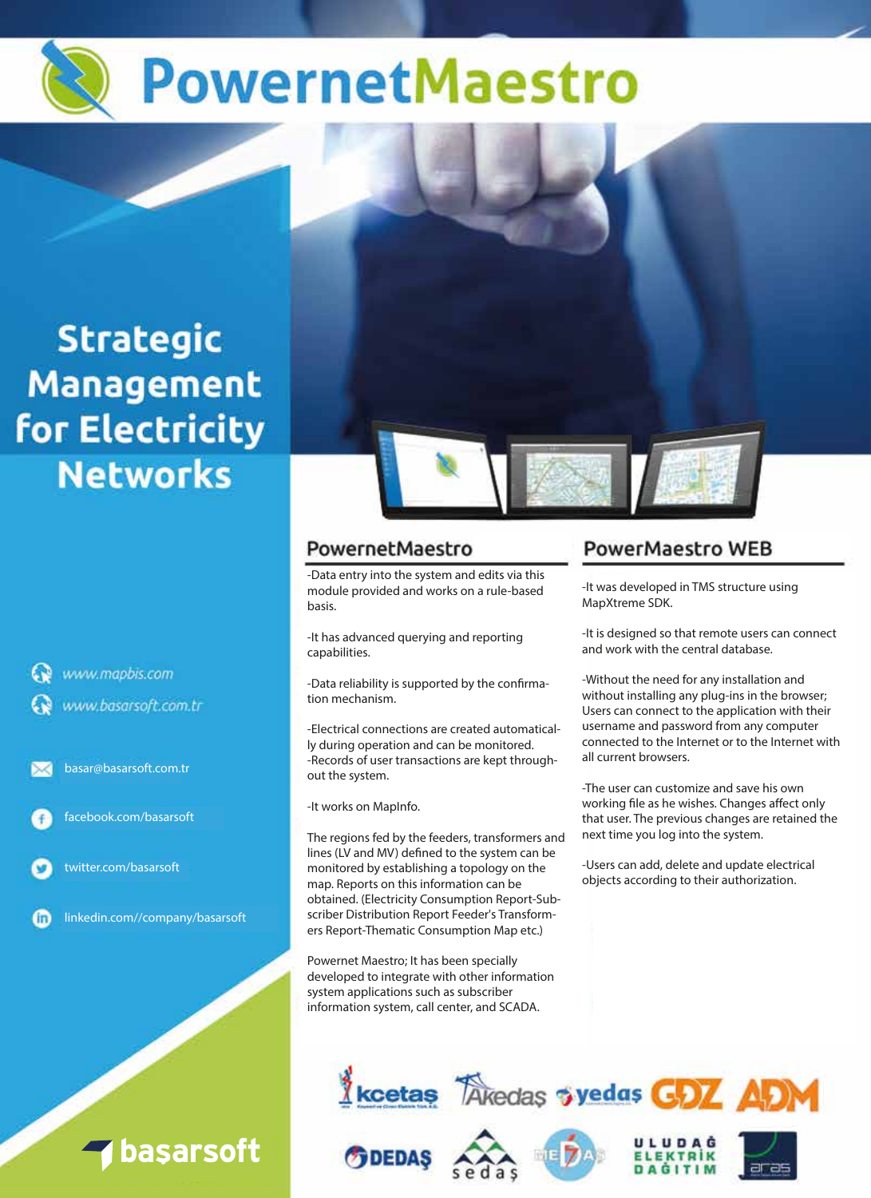

# **Strategic Management** for Electricity **Networks**

www.mapbis.com www.basarsoft.com.tr

basar@basarsoft.com.tr



twitter.com/basarsoft

**Gn** 

linkedin.com//company/basarsoft

basarsoft

# PowernetMaestro

-Data entry into the system and edits via this module provided and works on a rule-based basis.

-It has advanced querying and reporting capabilities.

-Data reliability is supported by the confirmation mechanism.

-Electrical connections are created automatically during operation and can be monitored. -Records of user transactions are kept throughout the system.

-It works on MapInfo.

The regions fed by the feeders, transformers and lines (LV and MV) defined to the system can be monitored by establishing a topology on the map. Reports on this information can be obtained. (Electricity Consumption Report-Subscriber Distribution Report Feeder's Transformers Report-Thematic Consumption Map etc.)

Powernet Maestro; It has been specially developed to integrate with other information system applications such as subscriber information system, call center, and SCADA.

# **PowerMaestro WEB**

-It was developed in TMS structure using MapXtreme SDK.

-It is designed so that remote users can connect and work with the central database.

-Without the need for any installation and without installing any plug-ins in the browser; Users can connect to the application with their username and password from any computer connected to the Internet or to the Internet with all current browsers.

-The user can customize and save his own working file as he wishes. Changes affect only that user. The previous changes are retained the next time you log into the system.

-Users can add, delete and update electrical objects according to their authorization.